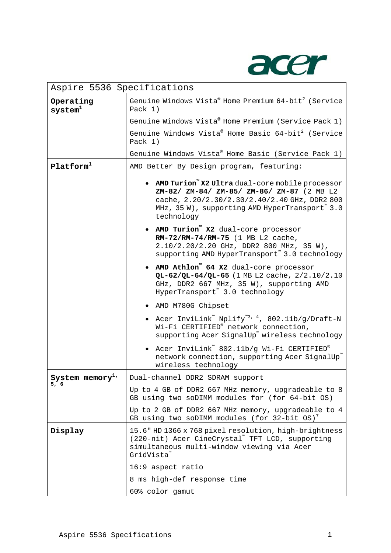

| Aspire 5536 Specifications   |                                                                                                                                                                                                                  |  |
|------------------------------|------------------------------------------------------------------------------------------------------------------------------------------------------------------------------------------------------------------|--|
| Operating<br>$s$ ystem $1$   | Genuine Windows Vista® Home Premium 64-bit <sup>2</sup> (Service<br>Pack 1)                                                                                                                                      |  |
|                              | Genuine Windows Vista® Home Premium (Service Pack 1)                                                                                                                                                             |  |
|                              | Genuine Windows Vista® Home Basic 64-bit <sup>2</sup> (Service<br>Pack $1)$                                                                                                                                      |  |
|                              | Genuine Windows Vista® Home Basic (Service Pack 1)                                                                                                                                                               |  |
| Platform <sup>1</sup>        | AMD Better By Design program, featuring:                                                                                                                                                                         |  |
|                              | • AMD Turion" X2 Ultra dual-core mobile processor<br>ZM-82/ ZM-84/ ZM-85/ ZM-86/ ZM-87 (2 MB L2<br>cache, 2.20/2.30/2.30/2.40/2.40 GHz, DDR2 800<br>MHz, 35 W), supporting AMD HyperTransport™ 3.0<br>technology |  |
|                              | • AMD Turion" X2 dual-core processor<br>RM-72/RM-74/RM-75 (1 MB L2 cache,<br>2.10/2.20/2.20 GHz, DDR2 800 MHz, 35 W),<br>supporting AMD HyperTransport" 3.0 technology                                           |  |
|                              | • AMD Athlon" 64 X2 dual-core processor<br>QL-62/QL-64/QL-65 (1 MB L2 cache, 2/2.10/2.10<br>GHz, DDR2 667 MHz, 35 W), supporting AMD<br>HyperTransport™ 3.0 technology                                           |  |
|                              | · AMD M780G Chipset                                                                                                                                                                                              |  |
|                              | • Acer InviLink <sup>"</sup> Nplify <sup>"3, 4</sup> , 802.11b/g/Draft-N<br>Wi-Fi CERTIFIED® network connection,<br>supporting Acer SignalUp <sup>"</sup> wireless technology                                    |  |
|                              | • Acer InviLink <sup>"</sup> 802.11b/g Wi-Fi CERTIFIED®<br>network connection, supporting Acer SignalUp"<br>wireless technology                                                                                  |  |
| System memory <sup>1</sup> ' | Dual-channel DDR2 SDRAM support                                                                                                                                                                                  |  |
| 5, 6                         | Up to 4 GB of DDR2 667 MHz memory, upgradeable to 8<br>GB using two soDIMM modules for (for 64-bit OS)                                                                                                           |  |
|                              | Up to 2 GB of DDR2 667 MHz memory, upgradeable to 4<br>GB using two soDIMM modules (for 32-bit OS) <sup>7</sup>                                                                                                  |  |
| Display                      | 15.6" HD 1366 x 768 pixel resolution, high-brightness<br>(220-nit) Acer CineCrystal" TFT LCD, supporting<br>simultaneous multi-window viewing via Acer<br>GridVista <sup>"</sup>                                 |  |
|                              | 16:9 aspect ratio                                                                                                                                                                                                |  |
|                              | 8 ms high-def response time                                                                                                                                                                                      |  |
|                              | 60% color gamut                                                                                                                                                                                                  |  |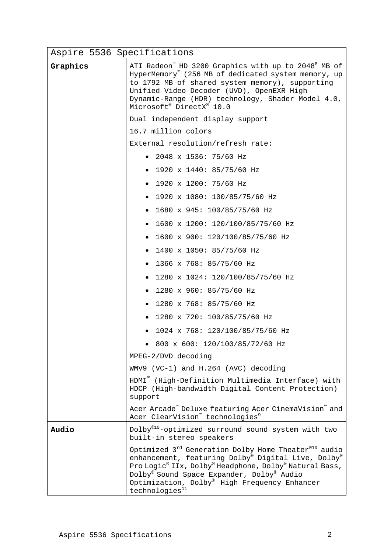| Aspire 5536 Specifications |                                                                                                                                                                                                                                                                                                                         |
|----------------------------|-------------------------------------------------------------------------------------------------------------------------------------------------------------------------------------------------------------------------------------------------------------------------------------------------------------------------|
| Graphics                   | ATI Radeon" HD 3200 Graphics with up to 2048 <sup>8</sup> MB of<br>HyperMemory" (256 MB of dedicated system memory, up<br>to 1792 MB of shared system memory), supporting<br>Unified Video Decoder (UVD), OpenEXR High<br>Dynamic-Range (HDR) technology, Shader Model 4.0,<br>Microsoft® DirectX® 10.0                 |
|                            | Dual independent display support                                                                                                                                                                                                                                                                                        |
|                            | 16.7 million colors                                                                                                                                                                                                                                                                                                     |
|                            | External resolution/refresh rate:                                                                                                                                                                                                                                                                                       |
|                            | • 2048 x 1536: 75/60 Hz                                                                                                                                                                                                                                                                                                 |
|                            | • 1920 x 1440: 85/75/60 Hz                                                                                                                                                                                                                                                                                              |
|                            | • 1920 x 1200: 75/60 Hz                                                                                                                                                                                                                                                                                                 |
|                            | • 1920 x 1080: 100/85/75/60 Hz                                                                                                                                                                                                                                                                                          |
|                            | • $1680 \times 945: 100/85/75/60 Hz$                                                                                                                                                                                                                                                                                    |
|                            | • 1600 x 1200: 120/100/85/75/60 Hz                                                                                                                                                                                                                                                                                      |
|                            | • 1600 x 900: 120/100/85/75/60 Hz                                                                                                                                                                                                                                                                                       |
|                            | • $1400 \times 1050: 85/75/60 Hz$                                                                                                                                                                                                                                                                                       |
|                            | • 1366 x 768: 85/75/60 Hz                                                                                                                                                                                                                                                                                               |
|                            | • 1280 x 1024: 120/100/85/75/60 Hz                                                                                                                                                                                                                                                                                      |
|                            | • 1280 x 960: 85/75/60 Hz                                                                                                                                                                                                                                                                                               |
|                            | • 1280 x 768: 85/75/60 Hz                                                                                                                                                                                                                                                                                               |
|                            | • 1280 x 720: 100/85/75/60 Hz                                                                                                                                                                                                                                                                                           |
|                            | 1024 x 768: 120/100/85/75/60 Hz                                                                                                                                                                                                                                                                                         |
|                            | 800 x 600: 120/100/85/72/60 Hz                                                                                                                                                                                                                                                                                          |
|                            | MPEG-2/DVD decoding                                                                                                                                                                                                                                                                                                     |
|                            | WMV9 (VC-1) and H.264 (AVC) decoding                                                                                                                                                                                                                                                                                    |
|                            | HDMI" (High-Definition Multimedia Interface) with<br>HDCP (High-bandwidth Digital Content Protection)<br>support                                                                                                                                                                                                        |
|                            | Acer Arcade" Deluxe featuring Acer CinemaVision" and<br>Acer ClearVision <sup>"</sup> technologies <sup>9</sup>                                                                                                                                                                                                         |
| Audio                      | Dolby® <sup>10</sup> -optimized surround sound system with two<br>built-in stereo speakers                                                                                                                                                                                                                              |
|                            | Optimized 3 <sup>rd</sup> Generation Dolby Home Theater <sup>®10</sup> audio<br>enhancement, featuring Dolby® Digital Live, Dolby®<br>Pro Logic® IIx, Dolby® Headphone, Dolby® Natural Bass,<br>Dolby® Sound Space Expander, Dolby® Audio<br>Optimization, Dolby® High Frequency Enhancer<br>technologies <sup>11</sup> |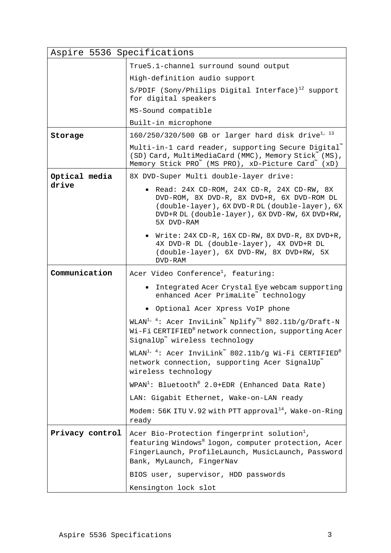| Storage<br>Optical media | True5.1-channel surround sound output<br>High-definition audio support<br>$S/PDIF$ (Sony/Philips Digital Interface) <sup>12</sup> support<br>for digital speakers<br>MS-Sound compatible<br>Built-in microphone<br>$160/250/320/500$ GB or larger hard disk drive <sup>1, 13</sup><br>Multi-in-1 card reader, supporting Secure Digital"<br>(SD) Card, MultiMediaCard (MMC), Memory Stick <sup>"</sup> (MS),<br>Memory Stick PRO" (MS PRO), xD-Picture Card" (xD)<br>8X DVD-Super Multi double-layer drive:<br>· Read: 24X CD-ROM, 24X CD-R, 24X CD-RW, 8X<br>DVD-ROM, 8X DVD-R, 8X DVD+R, 6X DVD-ROM DL<br>(double-layer), 6X DVD-R DL (double-layer), 6X<br>DVD+R DL (double-layer), 6X DVD-RW, 6X DVD+RW,<br>5X DVD-RAM |
|--------------------------|----------------------------------------------------------------------------------------------------------------------------------------------------------------------------------------------------------------------------------------------------------------------------------------------------------------------------------------------------------------------------------------------------------------------------------------------------------------------------------------------------------------------------------------------------------------------------------------------------------------------------------------------------------------------------------------------------------------------------|
|                          |                                                                                                                                                                                                                                                                                                                                                                                                                                                                                                                                                                                                                                                                                                                            |
|                          |                                                                                                                                                                                                                                                                                                                                                                                                                                                                                                                                                                                                                                                                                                                            |
|                          |                                                                                                                                                                                                                                                                                                                                                                                                                                                                                                                                                                                                                                                                                                                            |
|                          |                                                                                                                                                                                                                                                                                                                                                                                                                                                                                                                                                                                                                                                                                                                            |
|                          |                                                                                                                                                                                                                                                                                                                                                                                                                                                                                                                                                                                                                                                                                                                            |
|                          |                                                                                                                                                                                                                                                                                                                                                                                                                                                                                                                                                                                                                                                                                                                            |
|                          |                                                                                                                                                                                                                                                                                                                                                                                                                                                                                                                                                                                                                                                                                                                            |
|                          |                                                                                                                                                                                                                                                                                                                                                                                                                                                                                                                                                                                                                                                                                                                            |
| drive                    |                                                                                                                                                                                                                                                                                                                                                                                                                                                                                                                                                                                                                                                                                                                            |
|                          | • Write: 24X CD-R, 16X CD-RW, 8X DVD-R, 8X DVD+R,<br>4X DVD-R DL (double-layer), 4X DVD+R DL<br>(double-layer), 6X DVD-RW, 8X DVD+RW, 5X<br>DVD-RAM                                                                                                                                                                                                                                                                                                                                                                                                                                                                                                                                                                        |
| Communication            | Acer Video Conference <sup>1</sup> , featuring:                                                                                                                                                                                                                                                                                                                                                                                                                                                                                                                                                                                                                                                                            |
|                          | • Integrated Acer Crystal Eye webcam supporting<br>enhanced Acer PrimaLite" technology                                                                                                                                                                                                                                                                                                                                                                                                                                                                                                                                                                                                                                     |
|                          | . Optional Acer Xpress VoIP phone                                                                                                                                                                                                                                                                                                                                                                                                                                                                                                                                                                                                                                                                                          |
|                          | WLAN <sup>1, 4</sup> : Acer InviLink <sup>"</sup> Nplify <sup>"3</sup> 802.11b/g/Draft-N<br>Wi-Fi CERTIFIED® network connection, supporting Acer<br>SignalUp <sup>"</sup> wireless technology                                                                                                                                                                                                                                                                                                                                                                                                                                                                                                                              |
|                          | WLAN <sup>1, 4</sup> : Acer InviLink <sup>"</sup> 802.11b/g Wi-Fi CERTIFIED®<br>network connection, supporting Acer SignalUp<br>wireless technology                                                                                                                                                                                                                                                                                                                                                                                                                                                                                                                                                                        |
|                          | $W$ PAN <sup>1</sup> : Bluetooth <sup>®</sup> 2.0+EDR (Enhanced Data Rate)                                                                                                                                                                                                                                                                                                                                                                                                                                                                                                                                                                                                                                                 |
|                          | LAN: Gigabit Ethernet, Wake-on-LAN ready                                                                                                                                                                                                                                                                                                                                                                                                                                                                                                                                                                                                                                                                                   |
|                          | Modem: 56K ITU V.92 with PTT approval <sup>14</sup> , Wake-on-Ring<br>ready                                                                                                                                                                                                                                                                                                                                                                                                                                                                                                                                                                                                                                                |
| Privacy control          | Acer Bio-Protection fingerprint solution <sup>1</sup> ,<br>featuring Windows® logon, computer protection, Acer<br>FingerLaunch, ProfileLaunch, MusicLaunch, Password<br>Bank, MyLaunch, FingerNav<br>BIOS user, supervisor, HDD passwords<br>Kensington lock slot                                                                                                                                                                                                                                                                                                                                                                                                                                                          |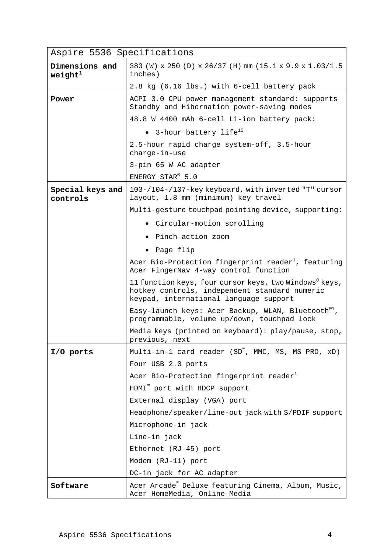| Aspire 5536 Specifications    |                                                                                                                                                   |
|-------------------------------|---------------------------------------------------------------------------------------------------------------------------------------------------|
| Dimensions and<br>weight $^1$ | 383 (W) x 250 (D) x 26/37 (H) mm (15.1 x 9.9 x 1.03/1.5<br>inches)                                                                                |
|                               | 2.8 kg (6.16 lbs.) with 6-cell battery pack                                                                                                       |
| Power                         | ACPI 3.0 CPU power management standard: supports<br>Standby and Hibernation power-saving modes                                                    |
|                               | 48.8 W 4400 mAh 6-cell Li-ion battery pack:                                                                                                       |
|                               | • 3-hour battery life <sup>15</sup>                                                                                                               |
|                               | 2.5-hour rapid charge system-off, 3.5-hour<br>charge-in-use                                                                                       |
|                               | 3-pin 65 W AC adapter                                                                                                                             |
|                               | ENERGY STAR® 5.0                                                                                                                                  |
| Special keys and<br>controls  | 103-/104-/107-key keyboard, with inverted "T" cursor<br>layout, 1.8 mm (minimum) key travel                                                       |
|                               | Multi-gesture touchpad pointing device, supporting:                                                                                               |
|                               | • Circular-motion scrolling                                                                                                                       |
|                               | • Pinch-action zoom                                                                                                                               |
|                               | • Page flip                                                                                                                                       |
|                               | Acer Bio-Protection fingerprint reader <sup>1</sup> , featuring<br>Acer FingerNav 4-way control function                                          |
|                               | 11 function keys, four cursor keys, two Windows® keys,<br>hotkey controls, independent standard numeric<br>keypad, international language support |
|                               | Easy-launch keys: Acer Backup, WLAN, Bluetooth <sup>®1</sup> ,<br>programmable, volume up/down, touchpad lock                                     |
|                               | Media keys (printed on keyboard): play/pause, stop,<br>previous, next                                                                             |
| I/O ports                     | Multi-in-1 card reader (SD <sup>"</sup> , MMC, MS, MS PRO, xD)                                                                                    |
|                               | Four USB 2.0 ports                                                                                                                                |
|                               | Acer Bio-Protection fingerprint reader <sup>1</sup>                                                                                               |
|                               | HDMI <sup>"</sup> port with HDCP support                                                                                                          |
|                               | External display (VGA) port                                                                                                                       |
|                               | Headphone/speaker/line-out jack with S/PDIF support                                                                                               |
|                               | Microphone-in jack                                                                                                                                |
|                               | Line-in jack                                                                                                                                      |
|                               | Ethernet (RJ-45) port                                                                                                                             |
|                               | Modem (RJ-11) port                                                                                                                                |
|                               | DC-in jack for AC adapter                                                                                                                         |
| Software                      | Acer Arcade" Deluxe featuring Cinema, Album, Music,<br>Acer HomeMedia, Online Media                                                               |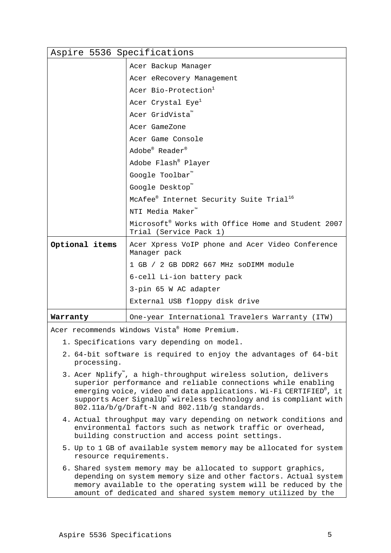| Aspire 5536 Specifications                                                                                                                                                                                                                                                                                               |                                                                                                                                   |  |
|--------------------------------------------------------------------------------------------------------------------------------------------------------------------------------------------------------------------------------------------------------------------------------------------------------------------------|-----------------------------------------------------------------------------------------------------------------------------------|--|
|                                                                                                                                                                                                                                                                                                                          | Acer Backup Manager                                                                                                               |  |
|                                                                                                                                                                                                                                                                                                                          | Acer eRecovery Management                                                                                                         |  |
|                                                                                                                                                                                                                                                                                                                          | Acer Bio-Protection <sup>1</sup>                                                                                                  |  |
|                                                                                                                                                                                                                                                                                                                          | Acer Crystal Eye <sup>1</sup>                                                                                                     |  |
|                                                                                                                                                                                                                                                                                                                          | Acer GridVista <sup>"</sup>                                                                                                       |  |
|                                                                                                                                                                                                                                                                                                                          | Acer GameZone                                                                                                                     |  |
|                                                                                                                                                                                                                                                                                                                          | Acer Game Console                                                                                                                 |  |
|                                                                                                                                                                                                                                                                                                                          | Adobe® Reader®                                                                                                                    |  |
|                                                                                                                                                                                                                                                                                                                          | Adobe Flash® Player                                                                                                               |  |
|                                                                                                                                                                                                                                                                                                                          | Google Toolbar™                                                                                                                   |  |
|                                                                                                                                                                                                                                                                                                                          | Google Desktop™                                                                                                                   |  |
|                                                                                                                                                                                                                                                                                                                          | McAfee® Internet Security Suite Trial <sup>16</sup>                                                                               |  |
|                                                                                                                                                                                                                                                                                                                          | NTI Media Maker™                                                                                                                  |  |
|                                                                                                                                                                                                                                                                                                                          | Microsoft <sup>®</sup> Works with Office Home and Student 2007<br>Trial (Service Pack 1)                                          |  |
| Optional items                                                                                                                                                                                                                                                                                                           | Acer Xpress VoIP phone and Acer Video Conference<br>Manager pack                                                                  |  |
|                                                                                                                                                                                                                                                                                                                          | 1 GB / 2 GB DDR2 667 MHz soDIMM module                                                                                            |  |
|                                                                                                                                                                                                                                                                                                                          | 6-cell Li-ion battery pack                                                                                                        |  |
|                                                                                                                                                                                                                                                                                                                          | 3-pin 65 W AC adapter                                                                                                             |  |
|                                                                                                                                                                                                                                                                                                                          | External USB floppy disk drive                                                                                                    |  |
| Warranty                                                                                                                                                                                                                                                                                                                 | One-year International Travelers Warranty (ITW)                                                                                   |  |
|                                                                                                                                                                                                                                                                                                                          | Acer recommends Windows Vista® Home Premium.                                                                                      |  |
|                                                                                                                                                                                                                                                                                                                          | 1. Specifications vary depending on model.                                                                                        |  |
| 2. 64-bit software is required to enjoy the advantages of 64-bit<br>processing.                                                                                                                                                                                                                                          |                                                                                                                                   |  |
| 3. Acer Nplify", a high-throughput wireless solution, delivers<br>superior performance and reliable connections while enabling<br>emerging voice, video and data applications. Wi-Fi CERTIFIED®, it<br>supports Acer SignalUp" wireless technology and is compliant with<br>802.11a/b/g/Draft-N and 802.11b/g standards. |                                                                                                                                   |  |
| 4. Actual throughput may vary depending on network conditions and<br>environmental factors such as network traffic or overhead,<br>building construction and access point settings.                                                                                                                                      |                                                                                                                                   |  |
| resource requirements.                                                                                                                                                                                                                                                                                                   | 5. Up to 1 GB of available system memory may be allocated for system                                                              |  |
|                                                                                                                                                                                                                                                                                                                          | 6. Shared system memory may be allocated to support graphics,<br>depending on system memory size and other factors. Actual system |  |

memory available to the operating system will be reduced by the amount of dedicated and shared system memory utilized by the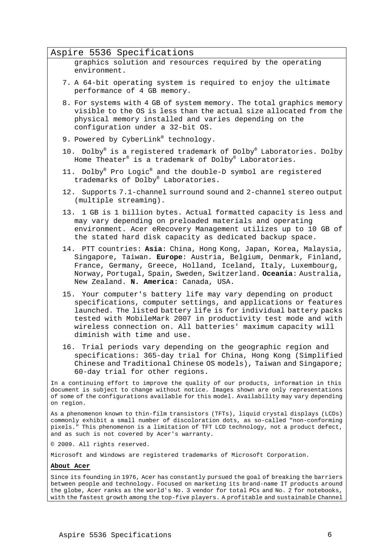## Aspire 5536 Specifications

graphics solution and resources required by the operating environment.

- 7. A 64-bit operating system is required to enjoy the ultimate performance of 4 GB memory.
- 8. For systems with 4 GB of system memory. The total graphics memory visible to the OS is less than the actual size allocated from the physical memory installed and varies depending on the configuration under a 32-bit OS.
- 9. Powered by CyberLink® technology.
- 10. Dolby® is a registered trademark of Dolby® Laboratories. Dolby Home Theater® is a trademark of Dolby® Laboratories.
- 11. Dolby® Pro Logic® and the double-D symbol are registered trademarks of Dolby® Laboratories.
- 12. Supports 7.1-channel surround sound and 2-channel stereo output (multiple streaming).
- 13. 1 GB is 1 billion bytes. Actual formatted capacity is less and may vary depending on preloaded materials and operating environment. Acer eRecovery Management utilizes up to 10 GB of the stated hard disk capacity as dedicated backup space.
- 14. PTT countries: **Asia**: China, Hong Kong, Japan, Korea, Malaysia, Singapore, Taiwan. **Europe**: Austria, Belgium, Denmark, Finland, France, Germany, Greece, Holland, Iceland, Italy, Luxembourg, Norway, Portugal, Spain, Sweden, Switzerland. **Oceania**: Australia, New Zealand. **N. America**: Canada, USA.
- 15. Your computer's battery life may vary depending on product specifications, computer settings, and applications or features launched. The listed battery life is for individual battery packs tested with MobileMark 2007 in productivity test mode and with wireless connection on. All batteries' maximum capacity will diminish with time and use.
- 16. Trial periods vary depending on the geographic region and specifications: 365-day trial for China, Hong Kong (Simplified Chinese and Traditional Chinese OS models), Taiwan and Singapore; 60-day trial for other regions.

In a continuing effort to improve the quality of our products, information in this document is subject to change without notice. Images shown are only representations of some of the configurations available for this model. Availability may vary depending on region.

As a phenomenon known to thin-film transistors (TFTs), liquid crystal displays (LCDs) commonly exhibit a small number of discoloration dots, as so-called "non-conforming pixels." This phenomenon is a limitation of TFT LCD technology, not a product defect, and as such is not covered by Acer's warranty.

© 2009. All rights reserved.

Microsoft and Windows are registered trademarks of Microsoft Corporation.

## **About Acer**

Since its founding in 1976, Acer has constantly pursued the goal of breaking the barriers between people and technology. Focused on marketing its brand-name IT products around the globe, Acer ranks as the world's No. 3 vendor for total PCs and No. 2 for notebooks, with the fastest growth among the top-five players. A profitable and sustainable Channel